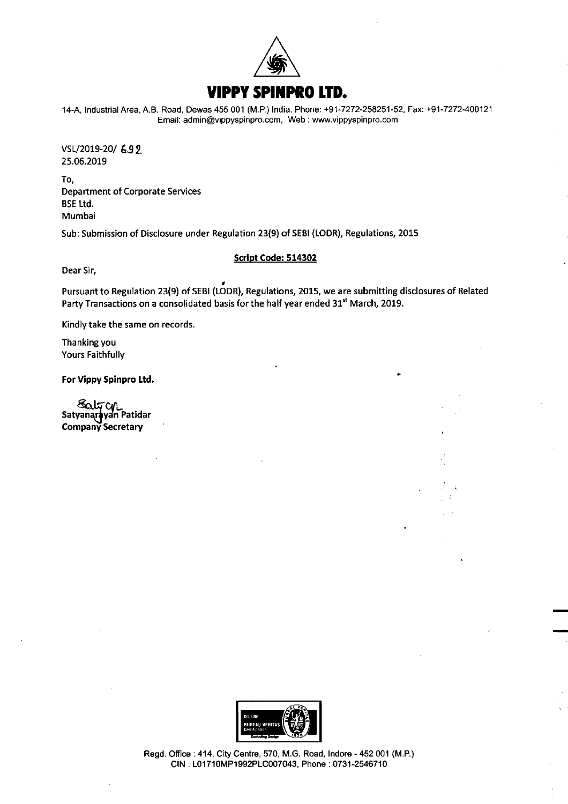

14-A, Industrial Area, A.B. Road, Dewas 455 001 (M.P.) India. Phone: +91-7272-258251-52. Fax: +91-7272-400121 Email: admin@vippyspinpro.com, Web : www.vippyspinpro.com

VSL/2019-20/ 692 25.06.2019

To, Department of Corporate Services BSE Ltd. Mumbai

Sub: Submission of Disclosure under Regulation 23(9) of SEBI (LODR), Regulations, 2015

## Script Code: 514302

Dear Sir,

Pursuant to Regulation 23(9) of SEBI (LODR), Regulations, 2015, we are submitting disclosures of Related Party Transactions on <sup>a</sup> consolidated basis for the half year ended 31" March, 2019.

Kindly take the same on records.

Thanking you Yours Faithfully

For Vippy Spinpro Ltd.

Satr y Satyanarayan Patidar Company Secretary



Regd. Office : 414, City Centre, 570, M.G. Road, Indore - 452 001 (M.P.) CIN : L01710MP1992PLC007043, Phone : 0731-2546710